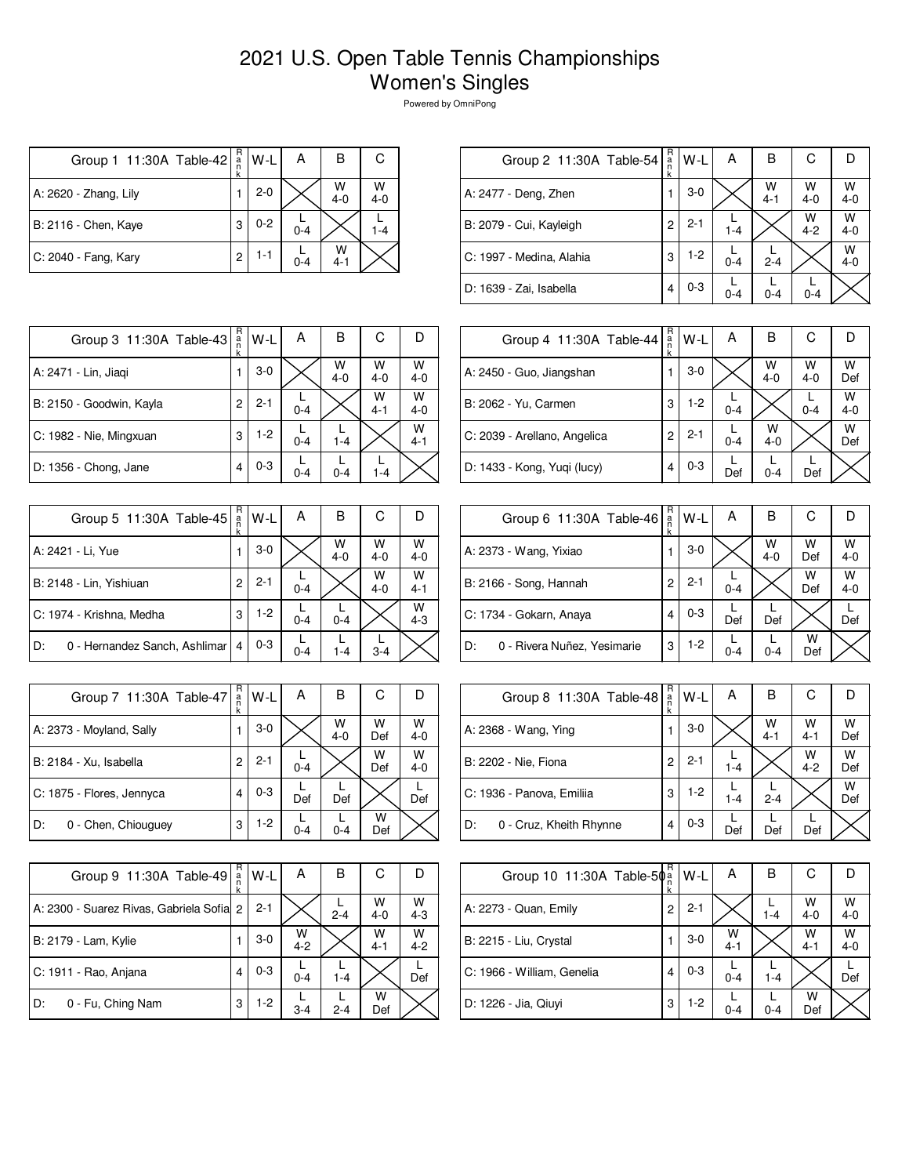## 2021 U.S. Open Table Tennis Championships Women's Singles

Powered by OmniPong

| Group 1 11:30A Table-42 | $_{a}^{\rm R}$ | $W-L$   | А       | B            | С            |
|-------------------------|----------------|---------|---------|--------------|--------------|
| A: 2620 - Zhang, Lily   |                | $2 - 0$ |         | W<br>$4 - 0$ | W<br>$4 - 0$ |
| B: 2116 - Chen, Kaye    | 3              | $0 - 2$ | $0 - 4$ |              | $1 - 4$      |
| C: 2040 - Fang, Kary    | $\overline{c}$ | $1 - 1$ | $0 - 4$ | w<br>$4 - 1$ |              |

| $R_{a}$<br>С<br>в<br>А<br>W-L<br>Group 2 11:30A Table-54<br>k            |              |  |  |  |
|--------------------------------------------------------------------------|--------------|--|--|--|
|                                                                          |              |  |  |  |
| W<br>W<br>$3-0$<br>A: 2477 - Deng, Zhen<br>$4 - 0$<br>$4 - 1$            | W<br>$4 - 0$ |  |  |  |
| W<br>$2 - 1$<br>B: 2079 - Cui, Kayleigh<br>2<br>$4 - 2$<br>$1 - 4$       | $W$<br>4-0   |  |  |  |
| $1-2$<br>3<br>C: 1997 - Medina, Alahia<br>$2 - 4$<br>$0 - 4$             | W<br>$4 - 0$ |  |  |  |
| $0 - 3$<br>D: 1639 - Zai, Isabella<br>4<br>$0 - 4$<br>$0 - 4$<br>$0 - 4$ |              |  |  |  |

| Group 3 11:30A Table-43  | R<br>$\frac{a}{n}$<br>k | W-L     | А       | в            | С            |              |
|--------------------------|-------------------------|---------|---------|--------------|--------------|--------------|
| A: 2471 - Lin, Jiaqi     |                         | $3-0$   |         | W<br>$4 - 0$ | W<br>$4 - 0$ | w<br>$4 - 0$ |
| B: 2150 - Goodwin, Kayla | 2                       | $2 - 1$ | $0 - 4$ |              | W<br>$4 - 1$ | W<br>$4 - 0$ |
| C: 1982 - Nie, Mingxuan  | 3                       | $1-2$   | $0 - 4$ | $1 - 4$      |              | W<br>$4 - 1$ |
| D: 1356 - Chong, Jane    | 4                       | $0 - 3$ | $0 - 4$ | $0 - 4$      | $1 - 4$      |              |

| Group 5 11:30A Table-45             | R<br>a<br>n<br>k | W-L     | А       | в            | С            |              |
|-------------------------------------|------------------|---------|---------|--------------|--------------|--------------|
| A: 2421 - Li, Yue                   |                  | $3-0$   |         | W<br>$4 - 0$ | W<br>$4 - 0$ | W<br>$4 - 0$ |
| B: 2148 - Lin, Yishiuan             | 2                | $2 - 1$ | $0 - 4$ |              | W<br>$4 - 0$ | W<br>$4 - 1$ |
| C: 1974 - Krishna, Medha            | 3                | $1-2$   | $0 - 4$ | $0 - 4$      |              | w<br>$4 - 3$ |
| 0 - Hernandez Sanch, Ashlimar<br>D: | 4                | $0 - 3$ | $0 - 4$ | $1 - 4$      | $3 - 4$      |              |

| Group 7 11:30A Table-47   | R<br>a<br>n<br>k | W-L     | А       | В            | С        |              |
|---------------------------|------------------|---------|---------|--------------|----------|--------------|
| A: 2373 - Moyland, Sally  |                  | $3-0$   |         | W<br>$4 - 0$ | W<br>Def | W<br>$4 - 0$ |
| B: 2184 - Xu, Isabella    | 2                | $2 - 1$ | $0 - 4$ |              | W<br>Def | w<br>$4 - 0$ |
| C: 1875 - Flores, Jennyca | 4                | $0 - 3$ | Def     | Def          |          | Def          |
| D:<br>0 - Chen, Chiouguey | 3                | 1-2     | $0 - 4$ | $0 - 4$      | w<br>Def |              |

| Group 9 11:30A Table-49                   | R<br>a<br>k | W-L     | А            | в       | С            |              |
|-------------------------------------------|-------------|---------|--------------|---------|--------------|--------------|
| A: 2300 - Suarez Rivas, Gabriela Sofial 2 |             | $2 - 1$ |              | $2 - 4$ | W<br>$4 - 0$ | W<br>$4 - 3$ |
| B: 2179 - Lam, Kylie                      |             | $3-0$   | W<br>$4 - 2$ |         | W<br>$4 - 1$ | W<br>$4 - 2$ |
| C: 1911 - Rao, Anjana                     |             | $0 - 3$ | $0 - 4$      | $1 - 4$ |              | Def          |
| 0 - Fu, Ching Nam<br>D:                   | 3           | $1-2$   | $3 - 4$      | $2 - 4$ | w<br>Def     |              |

| Group 4 11:30A Table-44      | R<br>a<br>k | $W-L$   | A       | В            | С            |              |
|------------------------------|-------------|---------|---------|--------------|--------------|--------------|
| A: 2450 - Guo, Jiangshan     |             | $3-0$   |         | W<br>$4 - 0$ | W<br>$4 - 0$ | w<br>Def     |
| B: 2062 - Yu, Carmen         | 3           | $1-2$   | $0 - 4$ |              | $0 - 4$      | W<br>$4 - 0$ |
| C: 2039 - Arellano, Angelica | 2           | $2 - 1$ | $0 - 4$ | w<br>$4 - 0$ |              | W<br>Def     |
| D: 1433 - Kong, Yuqi (lucy)  | 4           | $0 - 3$ | Def     | $0 - 4$      | Def          |              |

| Group 6 11:30A Table-46           | R<br>$\frac{a}{n}$ | W-L     | А       | в            | С        |              |
|-----------------------------------|--------------------|---------|---------|--------------|----------|--------------|
| A: 2373 - Wang, Yixiao            |                    | $3-0$   |         | W<br>$4 - 0$ | W<br>Def | W<br>$4 - 0$ |
| B: 2166 - Song, Hannah            | 2                  | $2 - 1$ | $0 - 4$ |              | W<br>Def | W<br>$4 - 0$ |
| C: 1734 - Gokarn, Anaya           | 4                  | $0 - 3$ | Def     | Def          |          | Def          |
| 0 - Rivera Nuñez, Yesimarie<br>D: | 3                  | $1-2$   | 0-4     | $0 - 4$      | W<br>Def |              |

| Group 8 11:30A Table-48       | R<br>$\frac{a}{n}$ | W-L     | А       | В            | С            |          |
|-------------------------------|--------------------|---------|---------|--------------|--------------|----------|
| A: 2368 - Wang, Ying          |                    | $3-0$   |         | W<br>$4 - 1$ | W<br>$4 - 1$ | W<br>Def |
| B: 2202 - Nie, Fiona          | 2                  | $2 - 1$ | $1 - 4$ |              | W<br>$4 - 2$ | W<br>Def |
| C: 1936 - Panova, Emiliia     | 3                  | $1-2$   | $1 - 4$ | $2 - 4$      |              | w<br>Def |
| D:<br>0 - Cruz, Kheith Rhynne | 4                  | $0 - 3$ | Def     | Def          | Def          |          |

| Group 10 11:30A Table-50a  | R | W-L     | А            | В       | С            |              |
|----------------------------|---|---------|--------------|---------|--------------|--------------|
| A: 2273 - Quan, Emily      | 2 | $2 - 1$ |              | $1 - 4$ | w<br>$4 - 0$ | W<br>$4 - 0$ |
| B: 2215 - Liu, Crystal     |   | $3 - 0$ | W<br>$4 - 1$ |         | w<br>$4 - 1$ | w<br>$4 - 0$ |
| C: 1966 - William, Genelia | 4 | $0 - 3$ | $0 - 4$      | $1 - 4$ |              | Def          |
| D: 1226 - Jia, Qiuyi       | 3 | $1-2$   | $0 - 4$      | $0 - 4$ | W<br>Def     |              |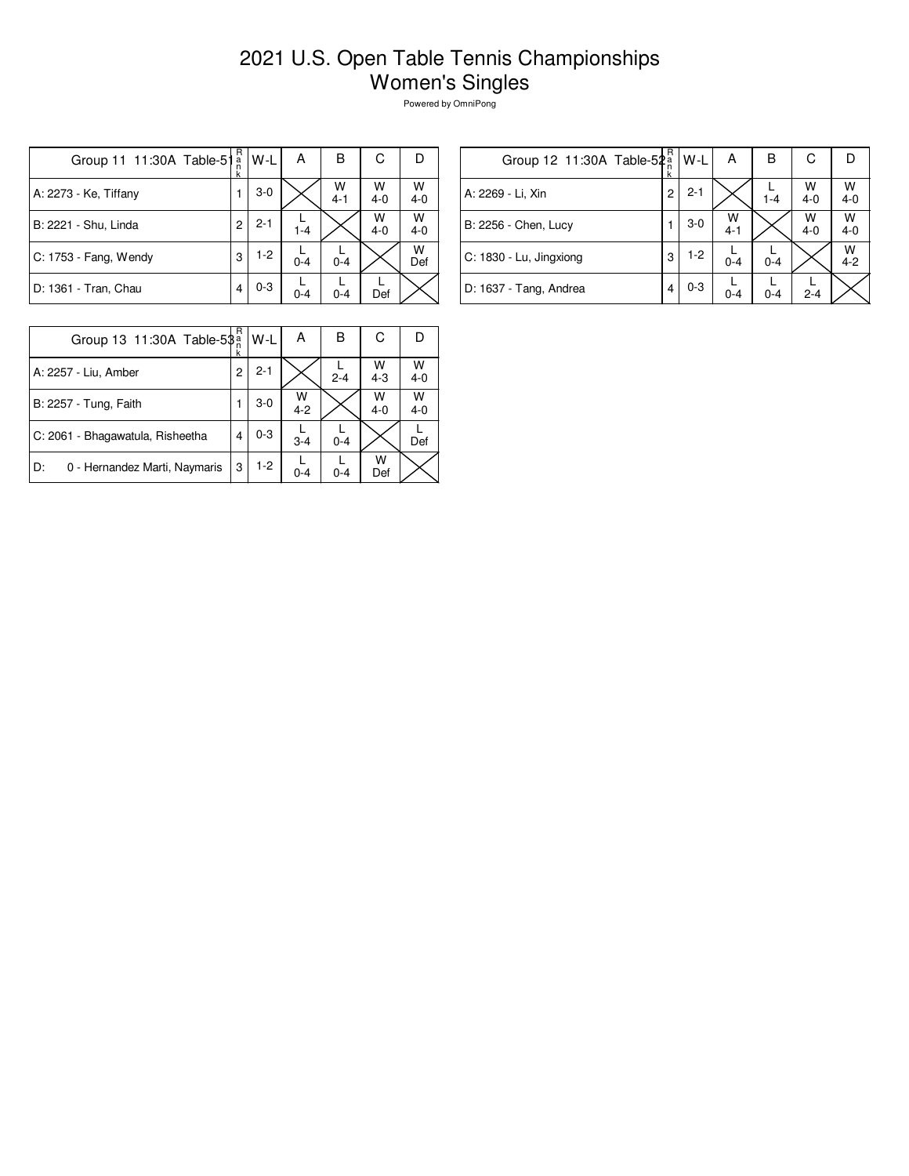## 2021 U.S. Open Table Tennis Championships Women's Singles

Powered by OmniPong

| Group 11 11:30A Table-51 | R<br>$\frac{a}{n}$<br>k | W-L     | А       | B            | С            | Ð            |
|--------------------------|-------------------------|---------|---------|--------------|--------------|--------------|
| A: 2273 - Ke, Tiffany    |                         | $3 - 0$ |         | W<br>$4 - 1$ | W<br>$4 - 0$ | w<br>$4 - 0$ |
| B: 2221 - Shu, Linda     | $\overline{c}$          | $2 - 1$ | $1 - 4$ |              | W<br>$4 - 0$ | w<br>$4 - 0$ |
| C: 1753 - Fang, Wendy    | 3                       | $1-2$   | $0 - 4$ | $0 - 4$      |              | W<br>Def     |
| D: 1361 - Tran, Chau     | 4                       | $0 - 3$ | $0 - 4$ | $0 - 4$      | Def          |              |

| Group 12 11:30A Table-52a | R<br>k | W-L     | А            | в       | С            | נו           |
|---------------------------|--------|---------|--------------|---------|--------------|--------------|
| A: 2269 - Li, Xin         | 2      | $2 - 1$ |              | $1 - 4$ | W<br>$4 - 0$ | W<br>$4 - 0$ |
| B: 2256 - Chen, Lucy      |        | $3-0$   | W<br>$4 - 1$ |         | W<br>$4 - 0$ | W<br>$4 - 0$ |
| C: 1830 - Lu, Jingxiong   | 3      | $1-2$   | $0 - 4$      | $0 - 4$ |              | W<br>$4 - 2$ |
| D: 1637 - Tang, Andrea    | 4      | $0 - 3$ | $0 - 4$      | $0 - 4$ | $2 - 4$      |              |

| Group 13 11:30A Table-5\$           |   | W-L     | А            | в       | С          |              |
|-------------------------------------|---|---------|--------------|---------|------------|--------------|
| A: 2257 - Liu, Amber                | 2 | $2 - 1$ |              | $2 - 4$ | $W$<br>4-3 | W<br>$4 - 0$ |
| B: 2257 - Tung, Faith               |   | $3-0$   | W<br>$4 - 2$ |         | W<br>$4-0$ | W<br>$4 - 0$ |
| C: 2061 - Bhagawatula, Risheetha    | 4 | $0 - 3$ | $3 - 4$      | $0 - 4$ |            | Def          |
| 0 - Hernandez Marti, Naymaris<br>D: | 3 | 1-2     | $0 - 4$      | $0 - 4$ | w<br>Def   |              |